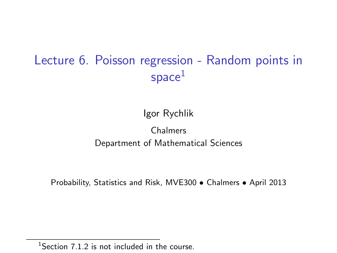# Lecture 6. Poisson regression - Random points in  $space<sup>1</sup>$

#### Igor Rychlik

#### Chalmers Department of Mathematical Sciences

Probability, Statistics and Risk, MVE300 • Chalmers • April 2013

 $1$ Section 7.1.2 is not included in the course.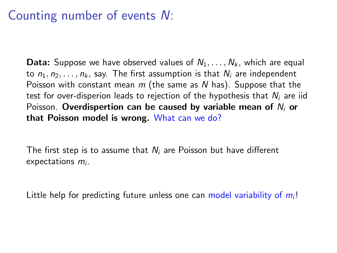## Counting number of events N:

**Data:** Suppose we have observed values of  $N_1, \ldots, N_k$ , which are equal to  $n_1, n_2, \ldots, n_k$ , say. The first assumption is that  $N_i$  are independent Poisson with constant mean  $m$  (the same as N has). Suppose that the test for over-disperion leads to rejection of the hypothesis that  $N_i$  are iid Poisson. Overdispertion can be caused by variable mean of  $N_i$  or that Poisson model is wrong. What can we do?

The first step is to assume that  $N_i$  are Poisson but have different  $expectations$   $m<sub>i</sub>$ .

Little help for predicting future unless one can model variability of  $m<sub>i</sub>!$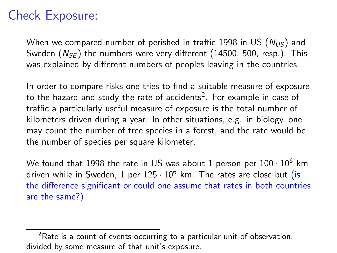# Check Exposure:

When we compared number of perished in traffic 1998 in US  $(N_{US})$  and Sweden  $(N_{SF})$  the numbers were very different (14500, 500, resp.). This was explained by different numbers of peoples leaving in the countries.

In order to compare risks one tries to find a suitable measure of exposure to the hazard and study the rate of accidents $^2. \,$  For example in case of traffic a particularly useful measure of exposure is the total number of kilometers driven during a year. In other situations, e.g. in biology, one may count the number of tree species in a forest, and the rate would be the number of species per square kilometer.

We found that 1998 the rate in US was about 1 person per  $100 \cdot 10^6$  km driven while in Sweden, 1 per  $125 \cdot 10^6$  km. The rates are close but (is the difference significant or could one assume that rates in both countries are the same?)

 $2R$ ate is a count of events occurring to a particular unit of observation, divided by some measure of that unit's exposure.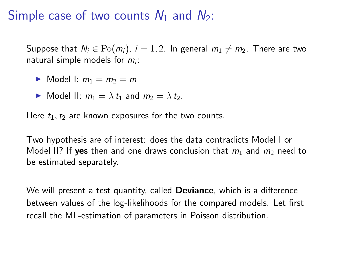## Simple case of two counts  $N_1$  and  $N_2$ :

Suppose that  $N_i \in Po(m_i)$ ,  $i = 1, 2$ . In general  $m_1 \neq m_2$ . There are two natural simple models for  $m<sub>i</sub>$ :

$$
\blacktriangleright \text{ Model I: } m_1 = m_2 = m
$$

$$
\triangleright \text{ Model II: } m_1 = \lambda t_1 \text{ and } m_2 = \lambda t_2.
$$

Here  $t_1, t_2$  are known exposures for the two counts.

Two hypothesis are of interest: does the data contradicts Model I or Model II? If yes then and one draws conclusion that  $m_1$  and  $m_2$  need to be estimated separately.

We will present a test quantity, called **Deviance**, which is a difference between values of the log-likelihoods for the compared models. Let first recall the ML-estimation of parameters in Poisson distribution.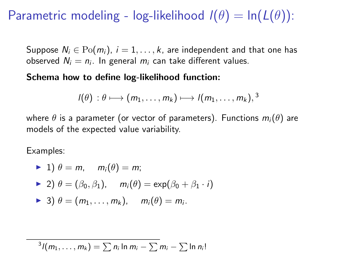## Parametric modeling - log-likelihood  $I(\theta) = \ln(L(\theta))$ :

Suppose  $N_i \in Po(m_i)$ ,  $i = 1, ..., k$ , are independent and that one has observed  $N_i = n_i$ . In general  $m_i$  can take different values.

#### Schema how to define log-likelihood function:

$$
I(\theta) : \theta \longmapsto (m_1, \dots, m_k) \longmapsto I(m_1, \dots, m_k),^3
$$

where  $\theta$  is a parameter (or vector of parameters). Functions  $m_i(\theta)$  are models of the expected value variability.

Examples:

\n- $$
\blacktriangleright
$$
 1)  $\theta = m$ ,  $m_i(\theta) = m$ ;\n- $\blacktriangleright$  2)  $\theta = (\beta_0, \beta_1)$ ,  $m_i(\theta) = \exp(\beta_0 + \beta_1 \cdot i)$
\n- $\blacktriangleright$  3)  $\theta = (m_1, \ldots, m_k)$ ,  $m_i(\theta) = m_i$ .
\n

$$
{}^{3}I(m_1,\ldots,m_k)=\sum n_i\ln m_i-\sum m_i-\sum\ln n_i!
$$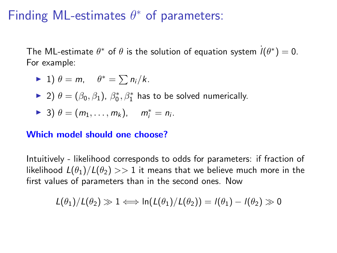# Finding ML-estimates  $\theta^*$  of parameters:

The ML-estimate  $\theta^*$  of  $\theta$  is the solution of equation system  $\dot{l}(\theta^*)=0$ . For example:

$$
\blacktriangleright 1) \theta = m, \quad \theta^* = \sum n_i / k.
$$

► 2)  $\theta = (\beta_0, \beta_1)$ ,  $\beta_0^*, \beta_1^*$  has to be solved numerically.

$$
\blacktriangleright 3) \theta = (m_1, \ldots, m_k), \quad m_i^* = n_i.
$$

#### Which model should one choose?

Intuitively - likelihood corresponds to odds for parameters: if fraction of likelihood  $L(\theta_1)/L(\theta_2) >> 1$  it means that we believe much more in the first values of parameters than in the second ones. Now

$$
L(\theta_1)/L(\theta_2) \gg 1 \Longleftrightarrow \ln(L(\theta_1)/L(\theta_2)) = l(\theta_1) - l(\theta_2) \gg 0
$$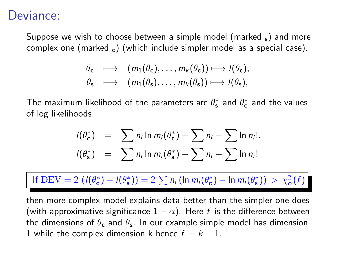### Deviance:

Suppose we wish to choose between a simple model (marked  $\varsigma$ ) and more complex one (marked  $_c$ ) (which include simpler model as a special case).

$$
\theta_{\mathbf{c}} \longrightarrow (m_1(\theta_{\mathbf{c}}), \dots, m_k(\theta_{\mathbf{c}})) \longmapsto l(\theta_{\mathbf{c}}),
$$
  

$$
\theta_{\mathbf{s}} \longrightarrow (m_1(\theta_{\mathbf{s}}), \dots, m_k(\theta_{\mathbf{s}})) \longmapsto l(\theta_{\mathbf{s}}),
$$

The maximum likelihood of the parameters are  $\theta_{\bf s}^*$  and  $\theta_{\bf c}^*$  and the values of log likelihoods

$$
I(\theta_{\mathbf{c}}^*) = \sum n_i \ln m_i(\theta_{\mathbf{c}}^*) - \sum n_i - \sum \ln n_i!
$$
  

$$
I(\theta_{\mathbf{s}}^*) = \sum n_i \ln m_i(\theta_{\mathbf{s}}^*) - \sum n_i - \sum \ln n_i!
$$

If DEV = 2  $(l(\theta_{\mathbf{c}}^*) - l(\theta_{\mathbf{s}}^*)) = 2 \sum n_i (ln m_i(\theta_{\mathbf{c}}^*) - ln m_i(\theta_{\mathbf{s}}^*)) > \chi^2_{\alpha}(f)$ 

then more complex model explains data better than the simpler one does (with approximative significance  $1 - \alpha$ ). Here f is the difference between the dimensions of  $\theta_{\mathbf{c}}$  and  $\theta_{\mathbf{s}}$ . In our example simple model has dimension 1 while the complex dimension k hence  $f = k - 1$ .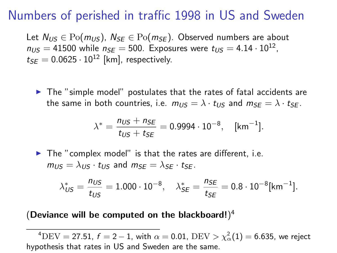### Numbers of perished in traffic 1998 in US and Sweden

Let  $N_{US} \in \text{Po}(m_{US})$ ,  $N_{SE} \in \text{Po}(m_{SE})$ . Observed numbers are about  $n_{US} = 41500$  while  $n_{SE} = 500$ . Exposures were  $t_{US} = 4.14 \cdot 10^{12}$ ,  $t_{SE} = 0.0625 \cdot 10^{12}$  [km], respectively.

 $\triangleright$  The "simple model" postulates that the rates of fatal accidents are the same in both countries, i.e.  $m_{US} = \lambda \cdot t_{US}$  and  $m_{SE} = \lambda \cdot t_{SE}$ .

$$
\lambda^* = \frac{n_{US} + n_{SE}}{t_{US} + t_{SE}} = 0.9994 \cdot 10^{-8}, \quad [\text{km}^{-1}].
$$

 $\blacktriangleright$  The "complex model" is that the rates are different, i.e.  $m_{US} = \lambda_{US} \cdot t_{US}$  and  $m_{SE} = \lambda_{SE} \cdot t_{SE}$ .

$$
\lambda^*_{\text{US}} = \frac{n_{\text{US}}}{t_{\text{US}}} = 1.000 \cdot 10^{-8}, \quad \lambda^*_{\text{SE}} = \frac{n_{\text{SE}}}{t_{\text{SE}}} = 0.8 \cdot 10^{-8} [\text{km}^{-1}].
$$

#### (Deviance will be computed on the blackboard!) $4$

 $^4\mathrm{DEV}=27.51,~f=2-1,$  with  $\alpha=0.01,~\mathrm{DEV}>\chi^2_\alpha(1)=6.635,$  we reject hypothesis that rates in US and Sweden are the same.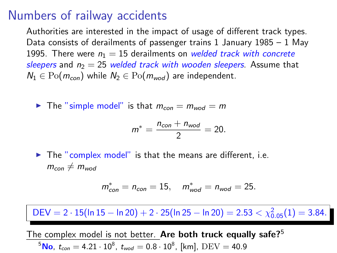### Numbers of railway accidents

Authorities are interested in the impact of usage of different track types. Data consists of derailments of passenger trains  $1$  January  $1985 - 1$  May 1995. There were  $n_1 = 15$  derailments on welded track with concrete sleepers and  $n_2 = 25$  welded track with wooden sleepers. Assume that  $N_1 \in \text{Po}(m_{con})$  while  $N_2 \in \text{Po}(m_{mod})$  are independent.

In The "simple model" is that  $m_{con} = m_{wood} = m$ 

$$
m^* = \frac{n_{con} + n_{wod}}{2} = 20.
$$

 $\blacktriangleright$  The "complex model" is that the means are different, i.e.  $m_{con} \neq m_{wood}$ 

$$
m_{con}^* = n_{con} = 15
$$
,  $m_{wod}^* = n_{wod} = 25$ .

 $\mathsf{DEV} = 2 \cdot 15 (\mathsf{ln} \, 15 - \mathsf{ln} \, 20) + 2 \cdot 25 (\mathsf{ln} \, 25 - \mathsf{ln} \, 20) = 2.53 < \chi^2_{0.05}(1) = 3.84.$ 

The complex model is not better. Are both truck equally safe? $5$  $^5$ No,  $t_{con}=4.21\cdot10^8$ ,  $t_{mod}=0.8\cdot10^8$ , [km],  $\rm{DEV}=40.9$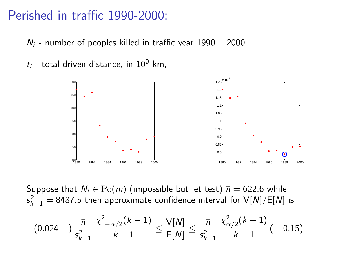### Perished in traffic 1990-2000:

 $N_i$  - number of peoples killed in traffic year 1990 – 2000.

 $t_i$  - total driven distance, in 10<sup>9</sup> km,



Suppose that  $N_i \in \mathrm{Po}(m)$  (impossible but let test)  $\bar{n} = 622.6$  while  $\mathsf{s}_{k-1}^2 =$  8487.5 then approximate confidence interval for  $\mathsf{V}[N]/\mathsf{E}[N]$  is

$$
(0.024 =) \frac{\bar{n}}{s_{k-1}^2} \frac{\chi^2_{1-\alpha/2}(k-1)}{k-1} \le \frac{V[N]}{E[N]} \le \frac{\bar{n}}{s_{k-1}^2} \frac{\chi^2_{\alpha/2}(k-1)}{k-1} (= 0.15)
$$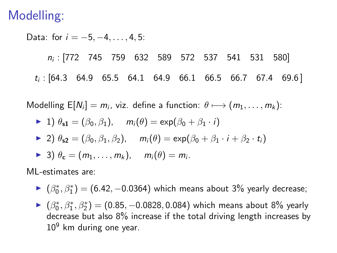## Modelling:

Data: for  $i = -5, -4, \ldots, 4, 5$ :

ni : [772 745 759 632 589 572 537 541 531 580]  $t_i$ : [64.3 64.9 65.5 64.1 64.9 66.1 66.5 66.7 67.4 69.6]

Modelling  $E[N_i] = m_i$ , viz. define a function:  $\theta \longmapsto (m_1, \dots, m_k)$ :

\n- 1) 
$$
\theta_{s1} = (\beta_0, \beta_1), \quad m_i(\theta) = \exp(\beta_0 + \beta_1 \cdot i)
$$
\n- 2)  $\theta_{s2} = (\beta_0, \beta_1, \beta_2), \quad m_i(\theta) = \exp(\beta_0 + \beta_1 \cdot i + \beta_2 \cdot t_i)$
\n- 3)  $\theta_c = (m_1, \ldots, m_k), \quad m_i(\theta) = m_i.$
\n

ML-estimates are:

- ►  $(\beta_0^*, \beta_1^*)$  = (6.42, -0.0364) which means about 3% yearly decrease;
- ►  $(\beta_0^*, \beta_1^*, \beta_2^*)$  =  $(0.85, -0.0828, 0.084)$  which means about 8% yearly decrease but also 8% increase if the total driving length increases by  $10<sup>9</sup>$  km during one year.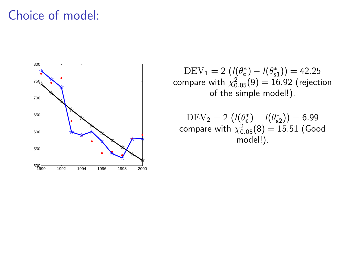## Choice of model:



 $\text{DEV}_1 = 2\left(I(\theta_{\text{c}}^*) - I(\theta_{\text{s}}^*)\right) = 42.25$ compare with  $\chi_{0.05}^{2}(9)=16.92$  (rejection of the simple model!).

 $\text{DEV}_2 = 2\,\left(I(\theta_{\texttt{c}}^*) - I(\theta_{\texttt{s2}}^*)\right) = 6.99$ compare with  $\chi_{0.05}^2(8)=15.51$  (Good model!).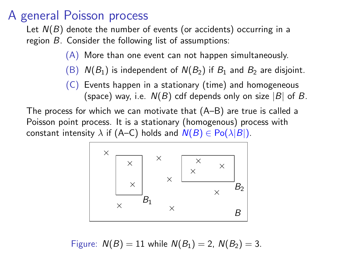## A general Poisson process

Let  $N(B)$  denote the number of events (or accidents) occurring in a region B. Consider the following list of assumptions:

- (A) More than one event can not happen simultaneously.
- (B)  $N(B_1)$  is independent of  $N(B_2)$  if  $B_1$  and  $B_2$  are disjoint.
- (C) Events happen in a stationary (time) and homogeneous (space) way, i.e.  $N(B)$  cdf depends only on size |B| of B.

The process for which we can motivate that (A–B) are true is called a Poisson point process. It is a stationary (homogenous) process with constant intensity  $\lambda$  if (A–C) holds and  $N(B) \in Po(\lambda|B|)$ .

$$
\begin{array}{|c|c|}\n \hline\n x & x \\
x & x \\
x & B_1 \\
\hline\n x & B_2\n \end{array}
$$

Figure: 
$$
N(B) = 11
$$
 while  $N(B_1) = 2$ ,  $N(B_2) = 3$ .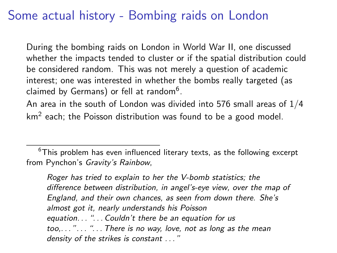## Some actual history - Bombing raids on London

During the bombing raids on London in World War II, one discussed whether the impacts tended to cluster or if the spatial distribution could be considered random. This was not merely a question of academic interest; one was interested in whether the bombs really targeted (as claimed by Germans) or fell at random $^6.$ 

An area in the south of London was divided into 576 small areas of 1/4 km<sup>2</sup> each; the Poisson distribution was found to be a good model.

 $6$ This problem has even influenced literary texts, as the following excerpt from Pynchon's Gravity's Rainbow,

Roger has tried to explain to her the V-bomb statistics; the difference between distribution, in angel's-eye view, over the map of England, and their own chances, as seen from down there. She's almost got it, nearly understands his Poisson equation... " $\ldots$  Couldn't there be an equation for us  $too$ ...."..."... There is no way, love, not as long as the mean density of the strikes is constant ..."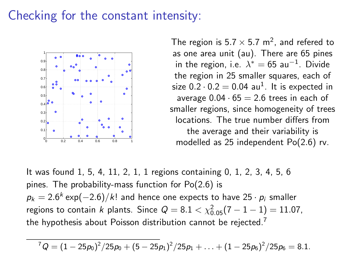## Checking for the constant intensity:



The region is 5.7  $\times$  5.7 m<sup>2</sup>, and refered to as one area unit (au). There are 65 pines in the region, i.e.  $\lambda^* = 65$  au $^{-1}$ . Divide the region in 25 smaller squares, each of size  $0.2 \cdot 0.2 = 0.04$  au<sup>1</sup>. It is expected in average  $0.04 \cdot 65 = 2.6$  trees in each of smaller regions, since homogeneity of trees locations. The true number differs from the average and their variability is modelled as 25 independent Po(2.6) rv.

It was found 1, 5, 4, 11, 2, 1, 1 regions containing 0, 1, 2, 3, 4, 5, 6 pines. The probability-mass function for Po(2.6) is  $p_k = 2.6^k \exp(-2.6)/k!$  and hence one expects to have 25  $\cdot$   $p_i$  smaller regions to contain k plants. Since  $Q = 8.1 < \chi^{2}_{0.05}(7 - 1 - 1) = 11.07$ , the hypothesis about Poisson distribution cannot be rejected.<sup>7</sup>

 ${}^{7}Q=(1-25\rho_{0})^{2}/25\rho_{0}+(5-25\rho_{1})^{2}/25\rho_{1}+\ldots+(1-25\rho_{6})^{2}/25\rho_{6}=8.1.$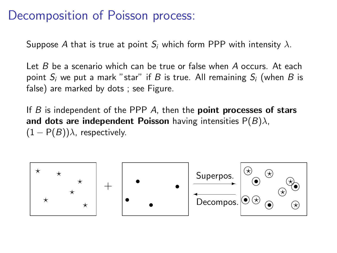## Decomposition of Poisson process:

Suppose A that is true at point  $S_i$  which form PPP with intensity  $\lambda$ .

Let  $B$  be a scenario which can be true or false when  $A$  occurs. At each point  $S_i$  we put a mark "star" if B is true. All remaining  $S_i$  (when B is false) are marked by dots ; see Figure.

If  $B$  is independent of the PPP  $A$ , then the **point processes of stars** and dots are independent Poisson having intensities  $P(B)\lambda$ ,  $(1 - P(B))\lambda$ , respectively.

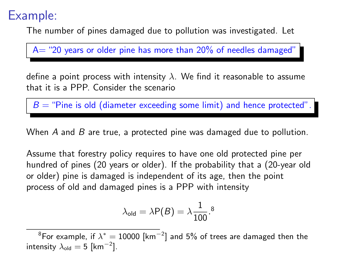## Example:

The number of pines damaged due to pollution was investigated. Let

 $A=$  "20 years or older pine has more than 20% of needles damaged"

define a point process with intensity  $\lambda$ . We find it reasonable to assume that it is a PPP. Consider the scenario

 $B =$  "Pine is old (diameter exceeding some limit) and hence protected".

When  $A$  and  $B$  are true, a protected pine was damaged due to pollution.

Assume that forestry policy requires to have one old protected pine per hundred of pines (20 years or older). If the probability that a (20-year old or older) pine is damaged is independent of its age, then the point process of old and damaged pines is a PPP with intensity

$$
\lambda_{\text{old}} = \lambda \mathsf{P}(B) = \lambda \frac{1}{100}.
$$
<sup>8</sup>

 $^8$ For example, if  $\lambda^*=10000$  [km $^{-2}$ ] and 5% of trees are damaged then the intensity  $\lambda_\mathsf{old}=5$  [km $^{-2}$ ].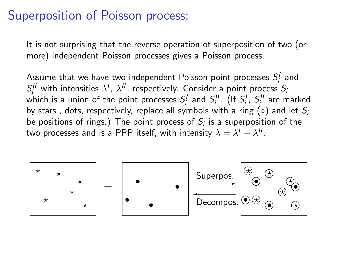## Superposition of Poisson process:

It is not surprising that the reverse operation of superposition of two (or more) independent Poisson processes gives a Poisson process.

Assume that we have two independent Poisson point-processes  $S_i^I$  and  $S_i^H$  with intensities  $\lambda^I$ ,  $\lambda^H$ , respectively. Consider a point process  $S_i$ which is a union of the point processes  $S_i^I$  and  $S_i^{\{I\}}$ . (If  $S_i^I$ ,  $S_i^{\{I\}}$  are marked by stars, dots, respectively, replace all symbols with a ring ( $\circ$ ) and let  $S_i$ be positions of rings.) The point process of  $\mathcal{S}_i$  is a superposition of the two processes and is a PPP itself, with intensity  $\lambda = \lambda' + \lambda''$ .